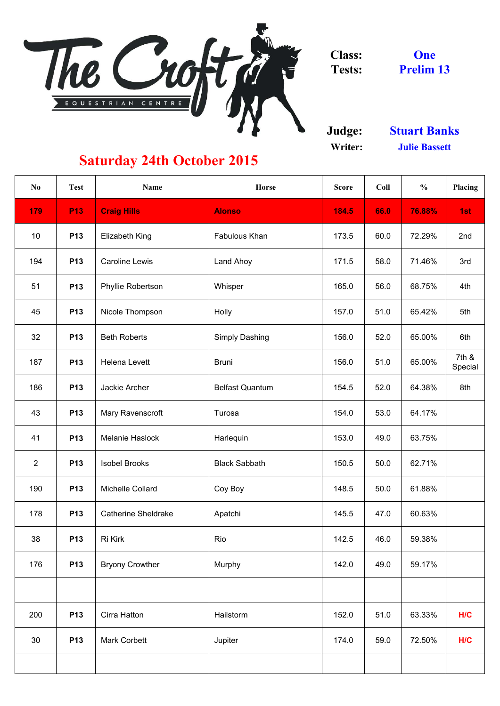

**Judge: Writer:**

| N <sub>0</sub> | <b>Test</b> | <b>Name</b>                | <b>Horse</b>           | <b>Score</b> | Coll | $\frac{6}{6}$ | <b>Placing</b>   |
|----------------|-------------|----------------------------|------------------------|--------------|------|---------------|------------------|
| 179            | <b>P13</b>  | <b>Craig Hills</b>         | <b>Alonso</b>          | 184.5        | 66.0 | 76.88%        | 1st              |
| 10             | <b>P13</b>  | <b>Elizabeth King</b>      | Fabulous Khan          | 173.5        | 60.0 | 72.29%        | 2nd              |
| 194            | <b>P13</b>  | <b>Caroline Lewis</b>      | Land Ahoy              | 171.5        | 58.0 | 71.46%        | 3rd              |
| 51             | <b>P13</b>  | <b>Phyllie Robertson</b>   | Whisper                | 165.0        | 56.0 | 68.75%        | 4th              |
| 45             | <b>P13</b>  | Nicole Thompson            | <b>Holly</b>           | 157.0        | 51.0 | 65.42%        | 5th              |
| 32             | <b>P13</b>  | <b>Beth Roberts</b>        | <b>Simply Dashing</b>  | 156.0        | 52.0 | 65.00%        | 6th              |
| 187            | <b>P13</b>  | <b>Helena Levett</b>       | <b>Bruni</b>           | 156.0        | 51.0 | 65.00%        | 7th &<br>Special |
| 186            | <b>P13</b>  | Jackie Archer              | <b>Belfast Quantum</b> | 154.5        | 52.0 | 64.38%        | 8th              |
| 43             | <b>P13</b>  | <b>Mary Ravenscroft</b>    | Turosa                 | 154.0        | 53.0 | 64.17%        |                  |
| 41             | <b>P13</b>  | Melanie Haslock            | Harlequin              | 153.0        | 49.0 | 63.75%        |                  |
| $\overline{2}$ | <b>P13</b>  | <b>Isobel Brooks</b>       | <b>Black Sabbath</b>   | 150.5        | 50.0 | 62.71%        |                  |
| 190            | <b>P13</b>  | Michelle Collard           | Coy Boy                | 148.5        | 50.0 | 61.88%        |                  |
| 178            | <b>P13</b>  | <b>Catherine Sheldrake</b> | Apatchi                | 145.5        | 47.0 | 60.63%        |                  |
| 38             | <b>P13</b>  | Ri Kirk                    | Rio                    | 142.5        | 46.0 | 59.38%        |                  |
| 176            | <b>P13</b>  | <b>Bryony Crowther</b>     | Murphy                 | 142.0        | 49.0 | 59.17%        |                  |
|                |             |                            |                        |              |      |               |                  |
| 200            | <b>P13</b>  | Cirra Hatton               | Hailstorm              | 152.0        | 51.0 | 63.33%        | H/C              |
| 30             | <b>P13</b>  | <b>Mark Corbett</b>        | Jupiter                | 174.0        | 59.0 | 72.50%        | H/C              |
|                |             |                            |                        |              |      |               |                  |

**One Prelim 13**

**Stuart Banks Julie Bassett**

## **Saturday 24th October 2015**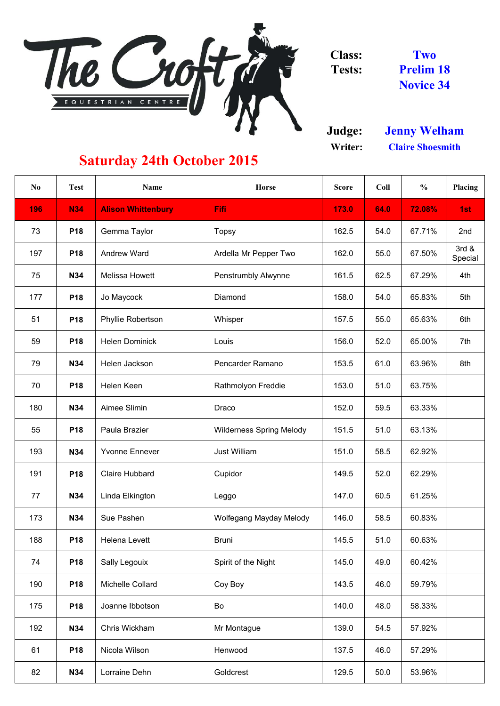

**Judge: Writer:**

| $\bf{N0}$ | <b>Test</b> | <b>Name</b>               | <b>Horse</b>                    | <b>Score</b> | Coll | $\frac{6}{6}$ | Placing          |
|-----------|-------------|---------------------------|---------------------------------|--------------|------|---------------|------------------|
| 196       | <b>N34</b>  | <b>Alison Whittenbury</b> | Fifi                            | 173.0        | 64.0 | 72.08%        | 1st              |
| 73        | <b>P18</b>  | Gemma Taylor              | <b>Topsy</b>                    | 162.5        | 54.0 | 67.71%        | 2nd              |
| 197       | <b>P18</b>  | <b>Andrew Ward</b>        | Ardella Mr Pepper Two           | 162.0        | 55.0 | 67.50%        | 3rd &<br>Special |
| 75        | <b>N34</b>  | <b>Melissa Howett</b>     | <b>Penstrumbly Alwynne</b>      | 161.5        | 62.5 | 67.29%        | 4th              |
| 177       | <b>P18</b>  | Jo Maycock                | Diamond                         | 158.0        | 54.0 | 65.83%        | 5th              |
| 51        | <b>P18</b>  | <b>Phyllie Robertson</b>  | Whisper                         | 157.5        | 55.0 | 65.63%        | 6th              |
| 59        | <b>P18</b>  | <b>Helen Dominick</b>     | Louis                           | 156.0        | 52.0 | 65.00%        | 7th              |
| 79        | <b>N34</b>  | Helen Jackson             | <b>Pencarder Ramano</b>         | 153.5        | 61.0 | 63.96%        | 8th              |
| 70        | <b>P18</b>  | <b>Helen Keen</b>         | Rathmolyon Freddie              | 153.0        | 51.0 | 63.75%        |                  |
| 180       | <b>N34</b>  | Aimee Slimin              | Draco                           | 152.0        | 59.5 | 63.33%        |                  |
| 55        | <b>P18</b>  | Paula Brazier             | <b>Wilderness Spring Melody</b> | 151.5        | 51.0 | 63.13%        |                  |
| 193       | <b>N34</b>  | <b>Yvonne Ennever</b>     | <b>Just William</b>             | 151.0        | 58.5 | 62.92%        |                  |
| 191       | <b>P18</b>  | <b>Claire Hubbard</b>     | Cupidor                         | 149.5        | 52.0 | 62.29%        |                  |
| 77        | <b>N34</b>  | Linda Elkington           | Leggo                           | 147.0        | 60.5 | 61.25%        |                  |
| 173       | <b>N34</b>  | Sue Pashen                | <b>Wolfegang Mayday Melody</b>  | 146.0        | 58.5 | 60.83%        |                  |
| 188       | <b>P18</b>  | <b>Helena Levett</b>      | <b>Bruni</b>                    | 145.5        | 51.0 | 60.63%        |                  |
| 74        | <b>P18</b>  | <b>Sally Legouix</b>      | Spirit of the Night             | 145.0        | 49.0 | 60.42%        |                  |
| 190       | <b>P18</b>  | <b>Michelle Collard</b>   | Coy Boy                         | 143.5        | 46.0 | 59.79%        |                  |
| 175       | <b>P18</b>  | Joanne Ibbotson           | Bo                              | 140.0        | 48.0 | 58.33%        |                  |
| 192       | <b>N34</b>  | Chris Wickham             | Mr Montague                     | 139.0        | 54.5 | 57.92%        |                  |
| 61        | <b>P18</b>  | Nicola Wilson             | Henwood                         | 137.5        | 46.0 | 57.29%        |                  |
| 82        | <b>N34</b>  | Lorraine Dehn             | Goldcrest                       | 129.5        | 50.0 | 53.96%        |                  |

**Two Prelim 18 Novice 34**

## **Saturday 24th October 2015**

**Claire Shoesmith Jenny Welham**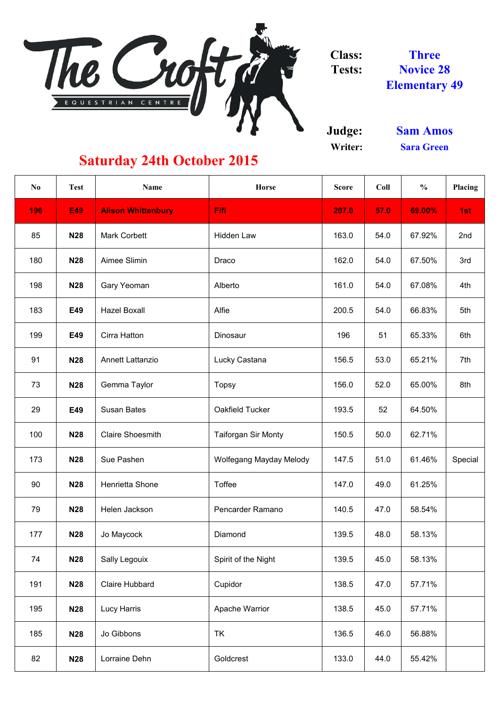

**Judge: Writer:**

| N <sub>0</sub> | <b>Test</b> | <b>Name</b>               | <b>Horse</b>               | <b>Score</b> | Coll | $\frac{0}{0}$ | Placing |
|----------------|-------------|---------------------------|----------------------------|--------------|------|---------------|---------|
| 196            | <b>E49</b>  | <b>Alison Whittenbury</b> | Fifi                       | 207.0        | 57.0 | 69.00%        | 1st     |
| 85             | <b>N28</b>  | <b>Mark Corbett</b>       | <b>Hidden Law</b>          | 163.0        | 54.0 | 67.92%        | 2nd     |
| 180            | <b>N28</b>  | Aimee Slimin              | Draco                      | 162.0        | 54.0 | 67.50%        | 3rd     |
| 198            | <b>N28</b>  | <b>Gary Yeoman</b>        | Alberto                    | 161.0        | 54.0 | 67.08%        | 4th     |
| 183            | E49         | <b>Hazel Boxall</b>       | Alfie                      | 200.5        | 54.0 | 66.83%        | 5th     |
| 199            | E49         | Cirra Hatton              | Dinosaur                   | 196          | 51   | 65.33%        | 6th     |
| 91             | <b>N28</b>  | <b>Annett Lattanzio</b>   | Lucky Castana              | 156.5        | 53.0 | 65.21%        | 7th     |
| 73             | <b>N28</b>  | Gemma Taylor              | <b>Topsy</b>               | 156.0        | 52.0 | 65.00%        | 8th     |
| 29             | E49         | <b>Susan Bates</b>        | Oakfield Tucker            | 193.5        | 52   | 64.50%        |         |
| 100            | <b>N28</b>  | <b>Claire Shoesmith</b>   | <b>Taiforgan Sir Monty</b> | 150.5        | 50.0 | 62.71%        |         |
| 173            | <b>N28</b>  | Sue Pashen                | Wolfegang Mayday Melody    | 147.5        | 51.0 | 61.46%        | Special |
| 90             | <b>N28</b>  | <b>Henrietta Shone</b>    | <b>Toffee</b>              | 147.0        | 49.0 | 61.25%        |         |
| 79             | <b>N28</b>  | Helen Jackson             | <b>Pencarder Ramano</b>    | 140.5        | 47.0 | 58.54%        |         |
| 177            | <b>N28</b>  | Jo Maycock                | Diamond                    | 139.5        | 48.0 | 58.13%        |         |
| 74             | <b>N28</b>  | <b>Sally Legouix</b>      | Spirit of the Night        | 139.5        | 45.0 | 58.13%        |         |
| 191            | <b>N28</b>  | <b>Claire Hubbard</b>     | Cupidor                    | 138.5        | 47.0 | 57.71%        |         |
| 195            | <b>N28</b>  | Lucy Harris               | <b>Apache Warrior</b>      | 138.5        | 45.0 | 57.71%        |         |
| 185            | <b>N28</b>  | Jo Gibbons                | <b>TK</b>                  | 136.5        | 46.0 | 56.88%        |         |
| 82             | <b>N28</b>  | Lorraine Dehn             | Goldcrest                  | 133.0        | 44.0 | 55.42%        |         |

**Sara Green Sam Amos**

**Three Novice 28 Elementary 49**

## **Saturday 24th October 2015**